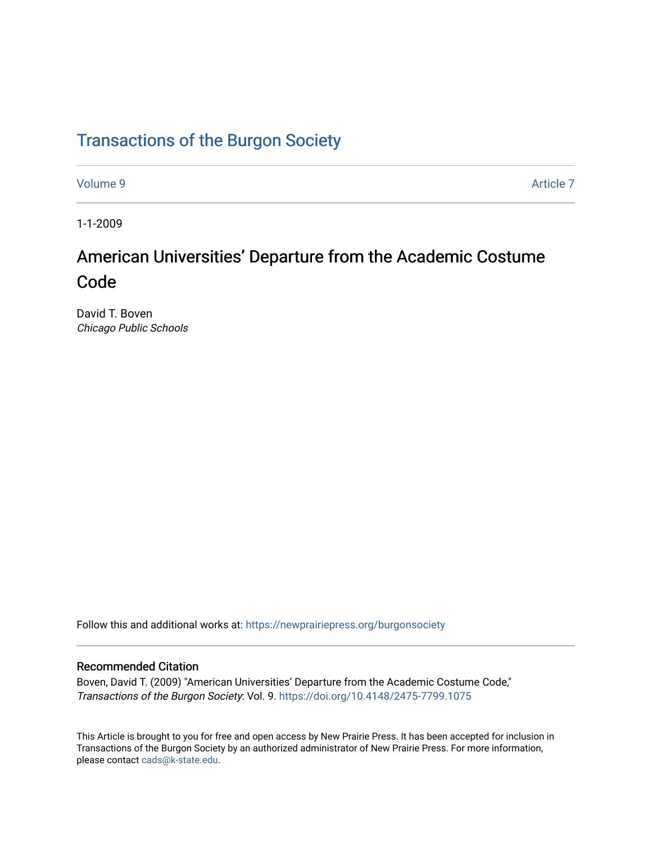# [Transactions of the Burgon Society](https://newprairiepress.org/burgonsociety)

[Volume 9](https://newprairiepress.org/burgonsociety/vol9) [Article 7](https://newprairiepress.org/burgonsociety/vol9/iss1/7) 

1-1-2009

# American Universities' Departure from the Academic Costume Code

David T. Boven Chicago Public Schools

Follow this and additional works at: [https://newprairiepress.org/burgonsociety](https://newprairiepress.org/burgonsociety?utm_source=newprairiepress.org%2Fburgonsociety%2Fvol9%2Fiss1%2F7&utm_medium=PDF&utm_campaign=PDFCoverPages)

### Recommended Citation

Boven, David T. (2009) "American Universities' Departure from the Academic Costume Code," Transactions of the Burgon Society: Vol. 9. [https://doi.org/10.4148/2475-7799.1075](https://dx.doi.org/10.4148/2475-7799.1075) 

This Article is brought to you for free and open access by New Prairie Press. It has been accepted for inclusion in Transactions of the Burgon Society by an authorized administrator of New Prairie Press. For more information, please contact [cads@k-state.edu.](mailto:cads@k-state.edu)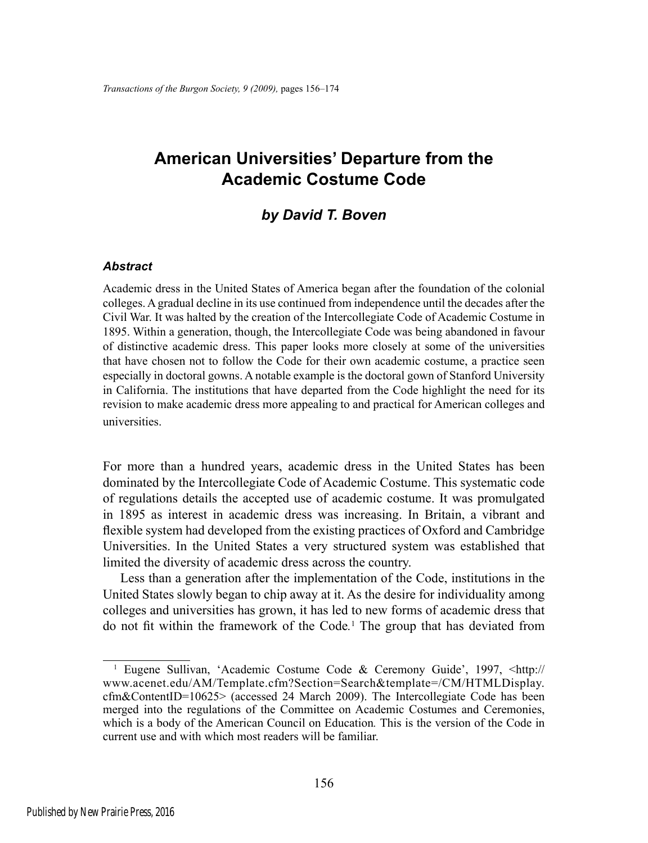# **American Universities' Departure from the Academic Costume Code**

## *by David T. Boven*

#### *Abstract*

Academic dress in the United States of America began after the foundation of the colonial colleges. A gradual decline in its use continued from independence until the decades after the Civil War. It was halted by the creation of the Intercollegiate Code of Academic Costume in 1895. Within a generation, though, the Intercollegiate Code was being abandoned in favour of distinctive academic dress. This paper looks more closely at some of the universities that have chosen not to follow the Code for their own academic costume, a practice seen especially in doctoral gowns. A notable example is the doctoral gown of Stanford University in California. The institutions that have departed from the Code highlight the need for its revision to make academic dress more appealing to and practical for American colleges and universities.

For more than a hundred years, academic dress in the United States has been dominated by the Intercollegiate Code of Academic Costume. This systematic code of regulations details the accepted use of academic costume. It was promulgated in 1895 as interest in academic dress was increasing. In Britain, a vibrant and flexible system had developed from the existing practices of Oxford and Cambridge Universities. In the United States a very structured system was established that limited the diversity of academic dress across the country.

Less than a generation after the implementation of the Code, institutions in the United States slowly began to chip away at it. As the desire for individuality among colleges and universities has grown, it has led to new forms of academic dress that do not fit within the framework of the Code*.* 1 The group that has deviated from

<sup>&</sup>lt;sup>1</sup> Eugene Sullivan, 'Academic Costume Code & Ceremony Guide', 1997, <http:// www.acenet.edu/AM/Template.cfm?Section=Search&template=/CM/HTMLDisplay. cfm&ContentID=10625> (accessed 24 March 2009). The Intercollegiate Code has been merged into the regulations of the Committee on Academic Costumes and Ceremonies, which is a body of the American Council on Education*.* This is the version of the Code in current use and with which most readers will be familiar.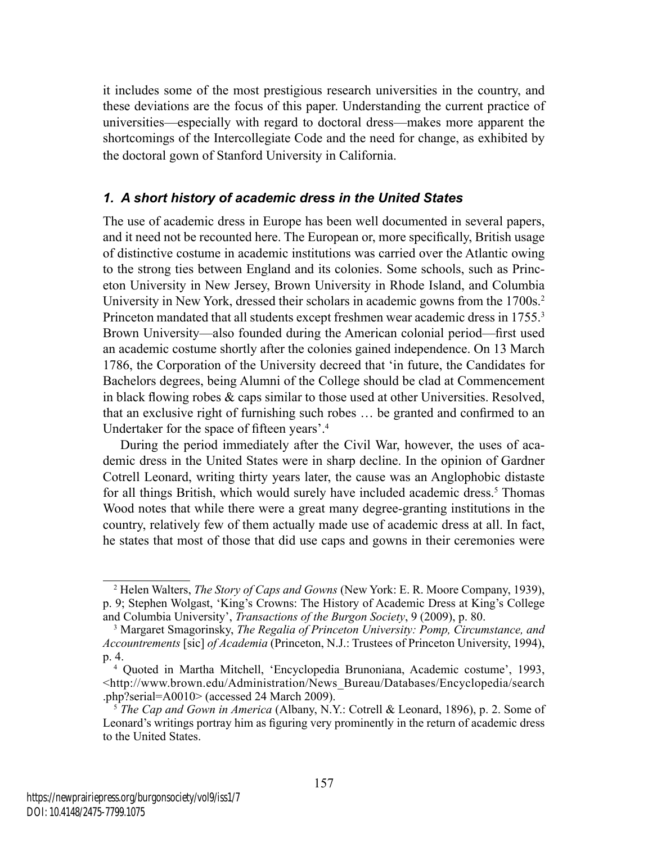it includes some of the most prestigious research universities in the country, and these deviations are the focus of this paper. Understanding the current practice of universities—especially with regard to doctoral dress—makes more apparent the shortcomings of the Intercollegiate Code and the need for change, as exhibited by the doctoral gown of Stanford University in California.

## *1. A short history of academic dress in the United States*

The use of academic dress in Europe has been well documented in several papers, and it need not be recounted here. The European or, more specifically, British usage of distinctive costume in academic institutions was carried over the Atlantic owing to the strong ties between England and its colonies. Some schools, such as Princeton University in New Jersey, Brown University in Rhode Island, and Columbia University in New York, dressed their scholars in academic gowns from the 1700s.<sup>2</sup> Princeton mandated that all students except freshmen wear academic dress in 1755.<sup>3</sup> Brown University—also founded during the American colonial period—first used an academic costume shortly after the colonies gained independence. On 13 March 1786, the Corporation of the University decreed that 'in future, the Candidates for Bachelors degrees, being Alumni of the College should be clad at Commencement in black flowing robes & caps similar to those used at other Universities. Resolved, that an exclusive right of furnishing such robes … be granted and confirmed to an Undertaker for the space of fifteen years'.<sup>4</sup>

During the period immediately after the Civil War, however, the uses of academic dress in the United States were in sharp decline. In the opinion of Gardner Cotrell Leonard, writing thirty years later, the cause was an Anglophobic distaste for all things British, which would surely have included academic dress.<sup>5</sup> Thomas Wood notes that while there were a great many degree-granting institutions in the country, relatively few of them actually made use of academic dress at all. In fact, he states that most of those that did use caps and gowns in their ceremonies were

<sup>2</sup> Helen Walters, *The Story of Caps and Gowns* (New York: E. R. Moore Company, 1939), p. 9; Stephen Wolgast, 'King's Crowns: The History of Academic Dress at King's College and Columbia University', *Transactions of the Burgon Society*, 9 (2009), p. 80.

<sup>3</sup> Margaret Smagorinsky, *The Regalia of Princeton University: Pomp, Circumstance, and Accountrements* [sic] *of Academia* (Princeton, N.J.: Trustees of Princeton University, 1994), p. 4.

<sup>4</sup> Quoted in Martha Mitchell, 'Encyclopedia Brunoniana, Academic costume', 1993, <http://www.brown.edu/Administration/News\_Bureau/Databases/Encyclopedia/search .php?serial=A0010> (accessed 24 March 2009).

<sup>5</sup> *The Cap and Gown in America* (Albany, N.Y.: Cotrell & Leonard, 1896), p. 2. Some of Leonard's writings portray him as figuring very prominently in the return of academic dress to the United States.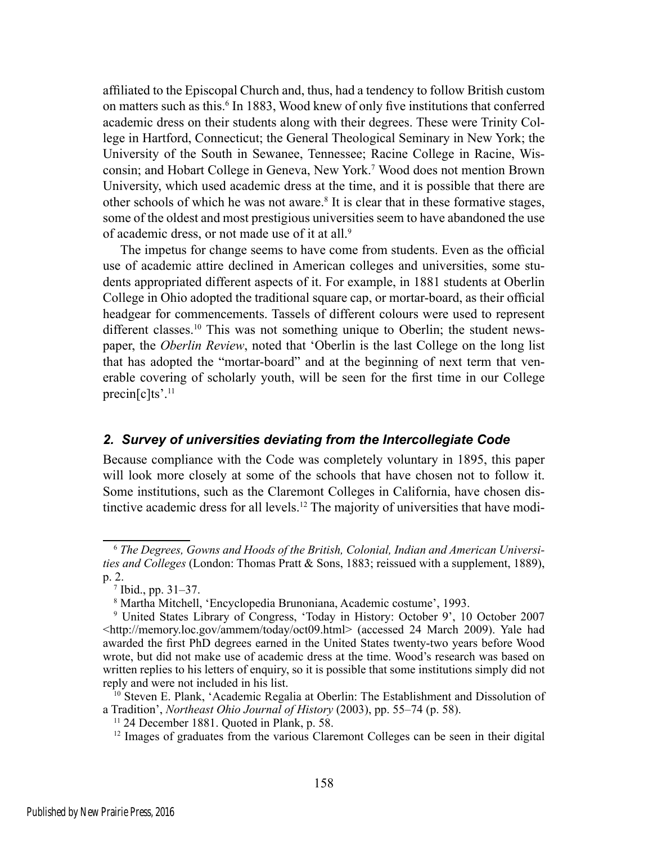affiliated to the Episcopal Church and, thus, had a tendency to follow British custom on matters such as this.<sup>6</sup> In 1883, Wood knew of only five institutions that conferred academic dress on their students along with their degrees. These were Trinity College in Hartford, Connecticut; the General Theological Seminary in New York; the University of the South in Sewanee, Tennessee; Racine College in Racine, Wisconsin; and Hobart College in Geneva, New York.7 Wood does not mention Brown University, which used academic dress at the time, and it is possible that there are other schools of which he was not aware.<sup>8</sup> It is clear that in these formative stages, some of the oldest and most prestigious universities seem to have abandoned the use of academic dress, or not made use of it at all.<sup>9</sup>

The impetus for change seems to have come from students. Even as the official use of academic attire declined in American colleges and universities, some students appropriated different aspects of it. For example, in 1881 students at Oberlin College in Ohio adopted the traditional square cap, or mortar-board, as their official headgear for commencements. Tassels of different colours were used to represent different classes.<sup>10</sup> This was not something unique to Oberlin; the student newspaper, the *Oberlin Review*, noted that 'Oberlin is the last College on the long list that has adopted the "mortar-board" and at the beginning of next term that venerable covering of scholarly youth, will be seen for the first time in our College precin[c]ts'.11

#### *2. Survey of universities deviating from the Intercollegiate Code*

Because compliance with the Code was completely voluntary in 1895, this paper will look more closely at some of the schools that have chosen not to follow it. Some institutions, such as the Claremont Colleges in California, have chosen distinctive academic dress for all levels.12 The majority of universities that have modi-

<sup>6</sup> *The Degrees, Gowns and Hoods of the British, Colonial, Indian and American Universities and Colleges* (London: Thomas Pratt & Sons, 1883; reissued with a supplement, 1889), p. 2.

<sup>7</sup> Ibid., pp. 31–37.

<sup>8</sup> Martha Mitchell, 'Encyclopedia Brunoniana, Academic costume', 1993.

<sup>9</sup> United States Library of Congress, 'Today in History: October 9', 10 October 2007 <http://memory.loc.gov/ammem/today/oct09.html> (accessed 24 March 2009). Yale had awarded the first PhD degrees earned in the United States twenty-two years before Wood wrote, but did not make use of academic dress at the time. Wood's research was based on written replies to his letters of enquiry, so it is possible that some institutions simply did not reply and were not included in his list.

<sup>&</sup>lt;sup>10</sup> Steven E. Plank, 'Academic Regalia at Oberlin: The Establishment and Dissolution of a Tradition', *Northeast Ohio Journal of History* (2003), pp. 55–74 (p. 58).

<sup>11 24</sup> December 1881. Quoted in Plank, p. 58.

<sup>&</sup>lt;sup>12</sup> Images of graduates from the various Claremont Colleges can be seen in their digital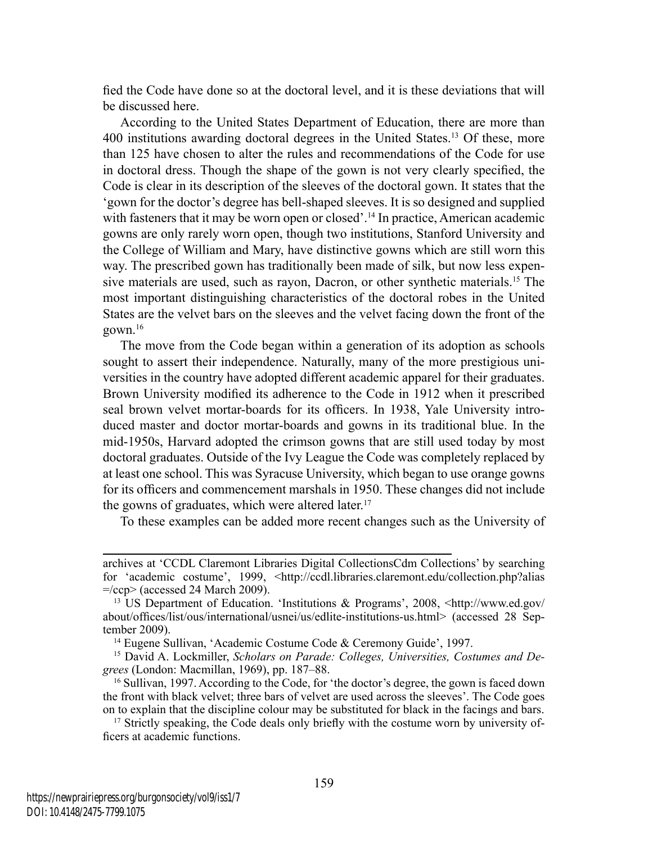fied the Code have done so at the doctoral level, and it is these deviations that will be discussed here.

According to the United States Department of Education, there are more than 400 institutions awarding doctoral degrees in the United States.13 Of these, more than 125 have chosen to alter the rules and recommendations of the Code for use in doctoral dress. Though the shape of the gown is not very clearly specified, the Code is clear in its description of the sleeves of the doctoral gown. It states that the 'gown for the doctor's degree has bell-shaped sleeves. It is so designed and supplied with fasteners that it may be worn open or closed'.<sup>14</sup> In practice, American academic gowns are only rarely worn open, though two institutions, Stanford University and the College of William and Mary, have distinctive gowns which are still worn this way. The prescribed gown has traditionally been made of silk, but now less expensive materials are used, such as rayon, Dacron, or other synthetic materials.<sup>15</sup> The most important distinguishing characteristics of the doctoral robes in the United States are the velvet bars on the sleeves and the velvet facing down the front of the gown.16

The move from the Code began within a generation of its adoption as schools sought to assert their independence. Naturally, many of the more prestigious universities in the country have adopted different academic apparel for their graduates. Brown University modified its adherence to the Code in 1912 when it prescribed seal brown velvet mortar-boards for its officers. In 1938, Yale University introduced master and doctor mortar-boards and gowns in its traditional blue. In the mid-1950s, Harvard adopted the crimson gowns that are still used today by most doctoral graduates. Outside of the Ivy League the Code was completely replaced by at least one school. This was Syracuse University, which began to use orange gowns for its officers and commencement marshals in 1950. These changes did not include the gowns of graduates, which were altered later.<sup>17</sup>

To these examples can be added more recent changes such as the University of

archives at 'CCDL Claremont Libraries Digital CollectionsCdm Collections' by searching for 'academic costume', 1999, <http://ccdl.libraries.claremont.edu/collection.php?alias  $=\frac{\text{ccop}}{\text{accessed}}$  24 March 2009).

<sup>&</sup>lt;sup>13</sup> US Department of Education. 'Institutions & Programs', 2008, <http://www.ed.gov/ about/offices/list/ous/international/usnei/us/edlite-institutions-us.html> (accessed 28 September 2009).

<sup>&</sup>lt;sup>14</sup> Eugene Sullivan, 'Academic Costume Code & Ceremony Guide', 1997.

<sup>&</sup>lt;sup>15</sup> David A. Lockmiller, *Scholars on Parade: Colleges, Universities, Costumes and Degrees* (London: Macmillan, 1969), pp. 187–88.

<sup>16</sup> Sullivan, 1997. According to the Code, for 'the doctor's degree, the gown is faced down the front with black velvet; three bars of velvet are used across the sleeves'. The Code goes on to explain that the discipline colour may be substituted for black in the facings and bars.

<sup>&</sup>lt;sup>17</sup> Strictly speaking, the Code deals only briefly with the costume worn by university officers at academic functions.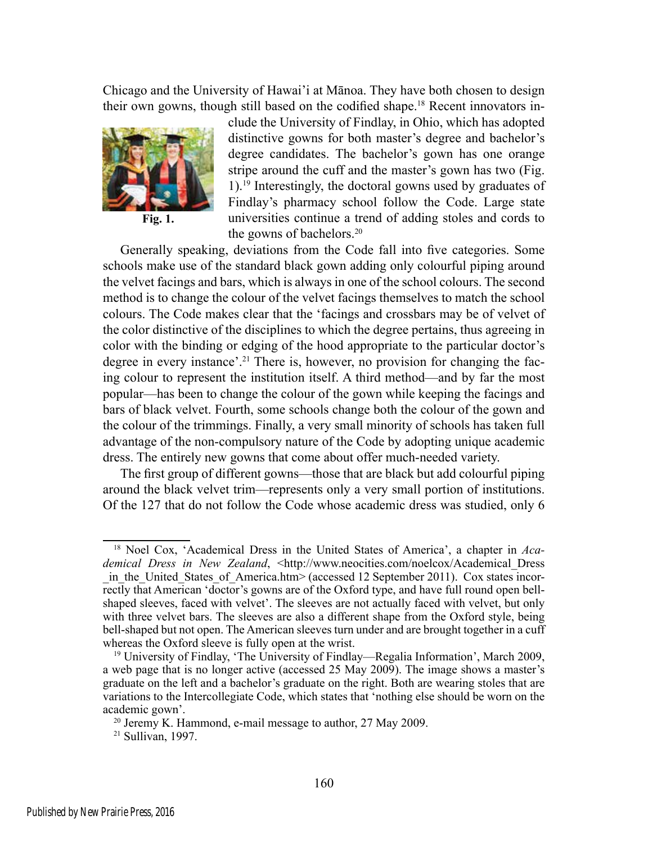Chicago and the University of Hawai'i at Mānoa. They have both chosen to design their own gowns, though still based on the codified shape.<sup>18</sup> Recent innovators in-



**Fig. 1.**

clude the University of Findlay, in Ohio, which has adopted distinctive gowns for both master's degree and bachelor's degree candidates. The bachelor's gown has one orange stripe around the cuff and the master's gown has two (Fig. 1).19 Interestingly, the doctoral gowns used by graduates of Findlay's pharmacy school follow the Code. Large state universities continue a trend of adding stoles and cords to the gowns of bachelors.20

Generally speaking, deviations from the Code fall into five categories. Some schools make use of the standard black gown adding only colourful piping around the velvet facings and bars, which is always in one of the school colours. The second method is to change the colour of the velvet facings themselves to match the school colours. The Code makes clear that the 'facings and crossbars may be of velvet of the color distinctive of the disciplines to which the degree pertains, thus agreeing in color with the binding or edging of the hood appropriate to the particular doctor's degree in every instance'.21 There is, however, no provision for changing the facing colour to represent the institution itself. A third method—and by far the most popular—has been to change the colour of the gown while keeping the facings and bars of black velvet. Fourth, some schools change both the colour of the gown and the colour of the trimmings. Finally, a very small minority of schools has taken full advantage of the non-compulsory nature of the Code by adopting unique academic dress. The entirely new gowns that come about offer much-needed variety.

The first group of different gowns—those that are black but add colourful piping around the black velvet trim—represents only a very small portion of institutions. Of the 127 that do not follow the Code whose academic dress was studied, only 6

<sup>&</sup>lt;sup>18</sup> Noel Cox, 'Academical Dress in the United States of America', a chapter in *Academical Dress in New Zealand*, <http://www.neocities.com/noelcox/Academical\_Dress in the United States of America.htm> (accessed 12 September 2011). Cox states incorrectly that American 'doctor's gowns are of the Oxford type, and have full round open bellshaped sleeves, faced with velvet'. The sleeves are not actually faced with velvet, but only with three velvet bars. The sleeves are also a different shape from the Oxford style, being bell-shaped but not open. The American sleeves turn under and are brought together in a cuff whereas the Oxford sleeve is fully open at the wrist.

<sup>&</sup>lt;sup>19</sup> University of Findlay, 'The University of Findlay—Regalia Information', March 2009, a web page that is no longer active (accessed 25 May 2009). The image shows a master's graduate on the left and a bachelor's graduate on the right. Both are wearing stoles that are variations to the Intercollegiate Code, which states that 'nothing else should be worn on the academic gown'.

<sup>20</sup> Jeremy K. Hammond, e-mail message to author, 27 May 2009.

<sup>21</sup> Sullivan, 1997.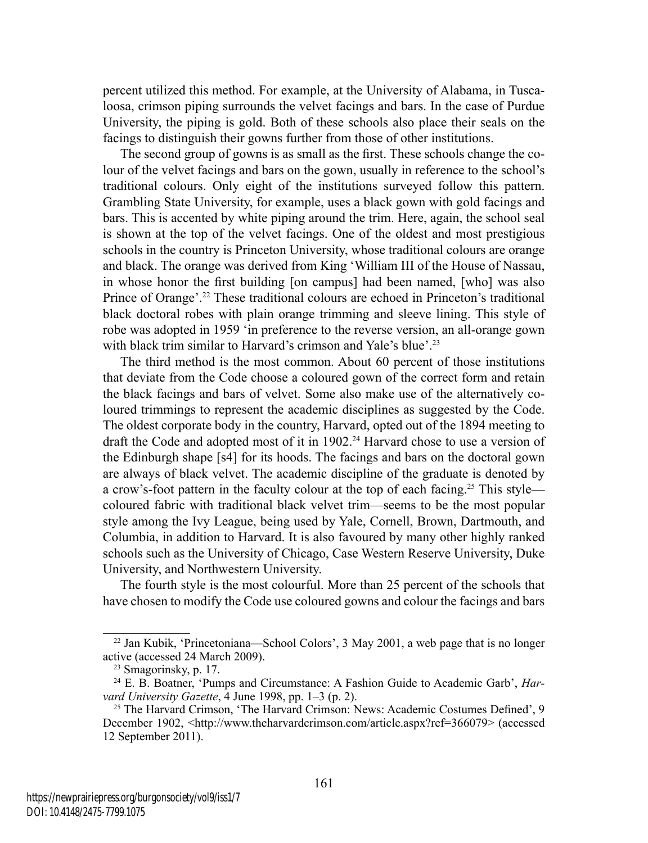percent utilized this method. For example, at the University of Alabama, in Tuscaloosa, crimson piping surrounds the velvet facings and bars. In the case of Purdue University, the piping is gold. Both of these schools also place their seals on the facings to distinguish their gowns further from those of other institutions.

The second group of gowns is as small as the first. These schools change the colour of the velvet facings and bars on the gown, usually in reference to the school's traditional colours. Only eight of the institutions surveyed follow this pattern. Grambling State University, for example, uses a black gown with gold facings and bars. This is accented by white piping around the trim. Here, again, the school seal is shown at the top of the velvet facings. One of the oldest and most prestigious schools in the country is Princeton University, whose traditional colours are orange and black. The orange was derived from King 'William III of the House of Nassau, in whose honor the first building [on campus] had been named, [who] was also Prince of Orange'.22 These traditional colours are echoed in Princeton's traditional black doctoral robes with plain orange trimming and sleeve lining. This style of robe was adopted in 1959 'in preference to the reverse version, an all-orange gown with black trim similar to Harvard's crimson and Yale's blue'.<sup>23</sup>

The third method is the most common. About 60 percent of those institutions that deviate from the Code choose a coloured gown of the correct form and retain the black facings and bars of velvet. Some also make use of the alternatively coloured trimmings to represent the academic disciplines as suggested by the Code. The oldest corporate body in the country, Harvard, opted out of the 1894 meeting to draft the Code and adopted most of it in 1902.24 Harvard chose to use a version of the Edinburgh shape [s4] for its hoods. The facings and bars on the doctoral gown are always of black velvet. The academic discipline of the graduate is denoted by a crow's-foot pattern in the faculty colour at the top of each facing.25 This style coloured fabric with traditional black velvet trim—seems to be the most popular style among the Ivy League, being used by Yale, Cornell, Brown, Dartmouth, and Columbia, in addition to Harvard. It is also favoured by many other highly ranked schools such as the University of Chicago, Case Western Reserve University, Duke University, and Northwestern University.

The fourth style is the most colourful. More than 25 percent of the schools that have chosen to modify the Code use coloured gowns and colour the facings and bars

<sup>&</sup>lt;sup>22</sup> Jan Kubik, 'Princetoniana—School Colors', 3 May 2001, a web page that is no longer active (accessed 24 March 2009).

<sup>23</sup> Smagorinsky, p. 17.

<sup>24</sup> E. B. Boatner, 'Pumps and Circumstance: A Fashion Guide to Academic Garb', *Harvard University Gazette*, 4 June 1998, pp. 1–3 (p. 2).

<sup>25</sup> The Harvard Crimson, 'The Harvard Crimson: News: Academic Costumes Defined', 9 December 1902, <http://www.theharvardcrimson.com/article.aspx?ref=366079> (accessed 12 September 2011).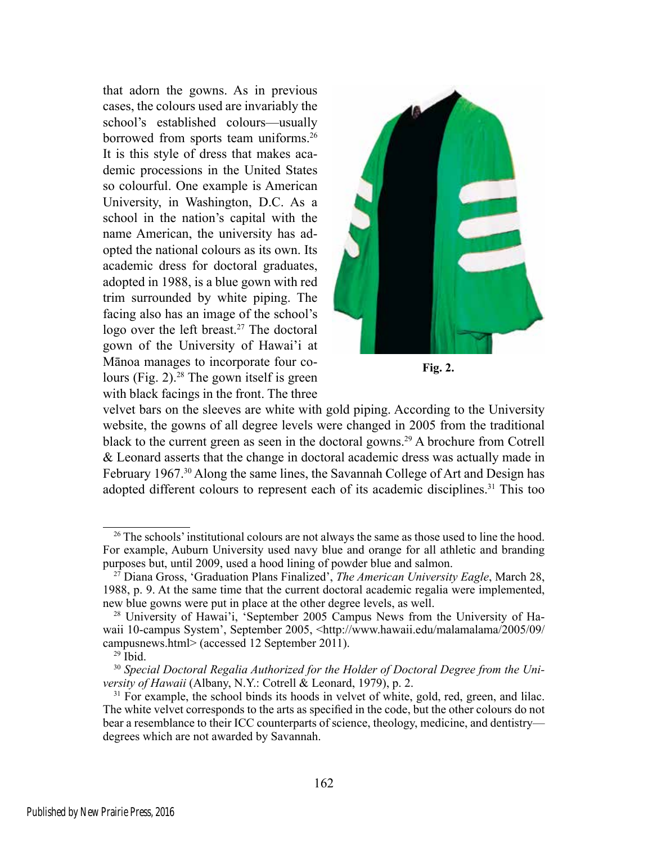that adorn the gowns. As in previous cases, the colours used are invariably the school's established colours—usually borrowed from sports team uniforms.<sup>26</sup> It is this style of dress that makes academic processions in the United States so colourful. One example is American University, in Washington, D.C. As a school in the nation's capital with the name American, the university has adopted the national colours as its own. Its academic dress for doctoral graduates, adopted in 1988, is a blue gown with red trim surrounded by white piping. The facing also has an image of the school's logo over the left breast.<sup>27</sup> The doctoral gown of the University of Hawai'i at Mānoa manages to incorporate four colours (Fig. 2).<sup>28</sup> The gown itself is green with black facings in the front. The three



**Fig. 2.**

velvet bars on the sleeves are white with gold piping. According to the University website, the gowns of all degree levels were changed in 2005 from the traditional black to the current green as seen in the doctoral gowns.29 A brochure from Cotrell & Leonard asserts that the change in doctoral academic dress was actually made in February 1967.30 Along the same lines, the Savannah College of Art and Design has adopted different colours to represent each of its academic disciplines.<sup>31</sup> This too

<sup>&</sup>lt;sup>26</sup> The schools' institutional colours are not always the same as those used to line the hood. For example, Auburn University used navy blue and orange for all athletic and branding purposes but, until 2009, used a hood lining of powder blue and salmon.

<sup>27</sup> Diana Gross, 'Graduation Plans Finalized', *The American University Eagle*, March 28, 1988, p. 9. At the same time that the current doctoral academic regalia were implemented, new blue gowns were put in place at the other degree levels, as well.

<sup>28</sup> University of Hawai'i, 'September 2005 Campus News from the University of Hawaii 10-campus System', September 2005, <http://www.hawaii.edu/malamalama/2005/09/ campusnews.html> (accessed 12 September 2011).

 $29$  Ibid.

<sup>&</sup>lt;sup>30</sup> Special Doctoral Regalia Authorized for the Holder of Doctoral Degree from the Uni*versity of Hawaii* (Albany, N.Y.: Cotrell & Leonard, 1979), p. 2.

<sup>&</sup>lt;sup>31</sup> For example, the school binds its hoods in velvet of white, gold, red, green, and lilac. The white velvet corresponds to the arts as specified in the code, but the other colours do not bear a resemblance to their ICC counterparts of science, theology, medicine, and dentistry degrees which are not awarded by Savannah.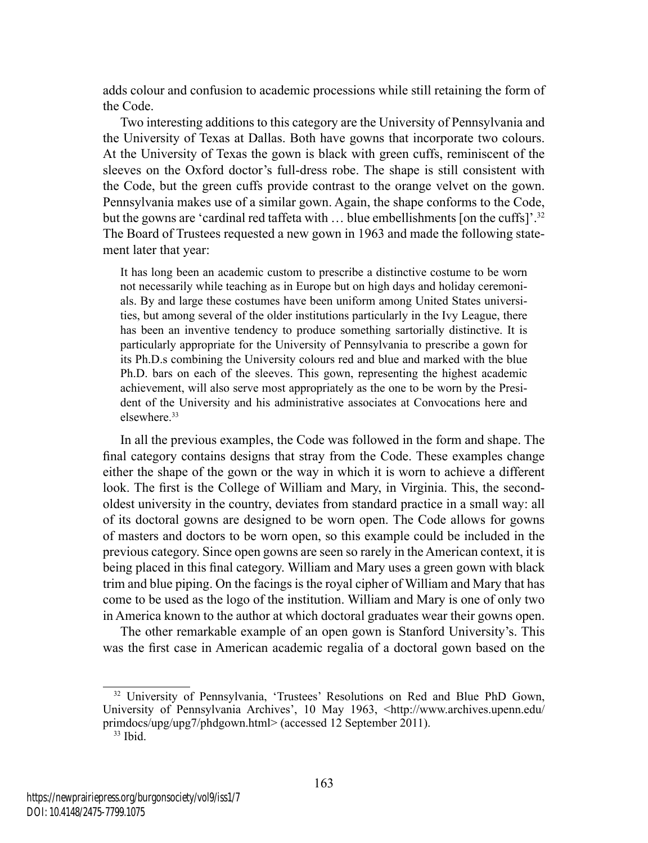adds colour and confusion to academic processions while still retaining the form of the Code.

Two interesting additions to this category are the University of Pennsylvania and the University of Texas at Dallas. Both have gowns that incorporate two colours. At the University of Texas the gown is black with green cuffs, reminiscent of the sleeves on the Oxford doctor's full-dress robe. The shape is still consistent with the Code, but the green cuffs provide contrast to the orange velvet on the gown. Pennsylvania makes use of a similar gown. Again, the shape conforms to the Code, but the gowns are 'cardinal red taffeta with ... blue embellishments [on the cuffs]'.<sup>32</sup> The Board of Trustees requested a new gown in 1963 and made the following statement later that year:

It has long been an academic custom to prescribe a distinctive costume to be worn not necessarily while teaching as in Europe but on high days and holiday ceremonials. By and large these costumes have been uniform among United States universities, but among several of the older institutions particularly in the Ivy League, there has been an inventive tendency to produce something sartorially distinctive. It is particularly appropriate for the University of Pennsylvania to prescribe a gown for its Ph.D.s combining the University colours red and blue and marked with the blue Ph.D. bars on each of the sleeves. This gown, representing the highest academic achievement, will also serve most appropriately as the one to be worn by the President of the University and his administrative associates at Convocations here and elsewhere.33

In all the previous examples, the Code was followed in the form and shape. The final category contains designs that stray from the Code. These examples change either the shape of the gown or the way in which it is worn to achieve a different look. The first is the College of William and Mary, in Virginia. This, the secondoldest university in the country, deviates from standard practice in a small way: all of its doctoral gowns are designed to be worn open. The Code allows for gowns of masters and doctors to be worn open, so this example could be included in the previous category. Since open gowns are seen so rarely in the American context, it is being placed in this final category. William and Mary uses a green gown with black trim and blue piping. On the facings is the royal cipher of William and Mary that has come to be used as the logo of the institution. William and Mary is one of only two in America known to the author at which doctoral graduates wear their gowns open.

The other remarkable example of an open gown is Stanford University's. This was the first case in American academic regalia of a doctoral gown based on the

<sup>&</sup>lt;sup>32</sup> University of Pennsylvania, 'Trustees' Resolutions on Red and Blue PhD Gown, University of Pennsylvania Archives', 10 May 1963, <http://www.archives.upenn.edu/ primdocs/upg/upg7/phdgown.html> (accessed 12 September 2011).

<sup>33</sup> Ibid.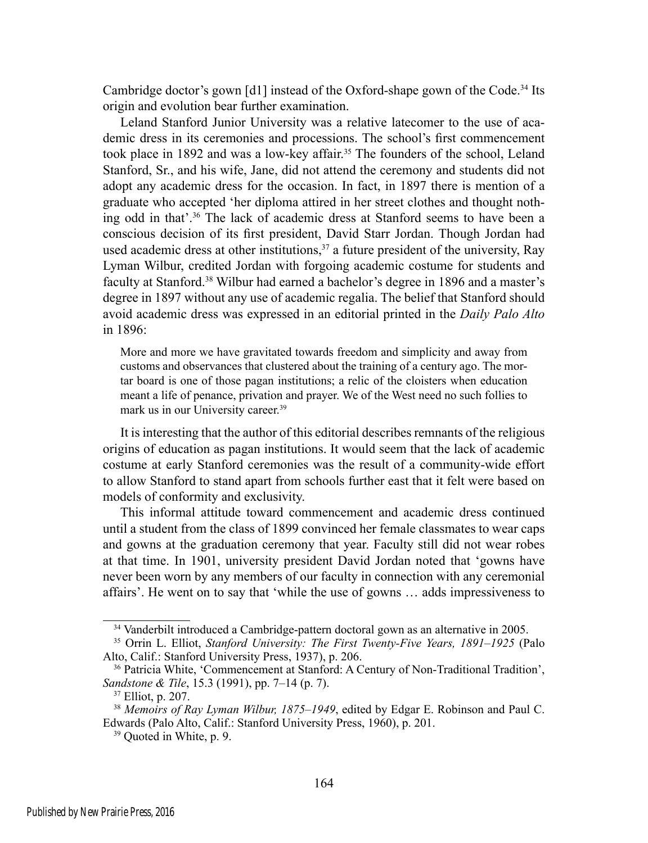Cambridge doctor's gown [d1] instead of the Oxford-shape gown of the Code.34 Its origin and evolution bear further examination.

Leland Stanford Junior University was a relative latecomer to the use of academic dress in its ceremonies and processions. The school's first commencement took place in 1892 and was a low-key affair.35 The founders of the school, Leland Stanford, Sr., and his wife, Jane, did not attend the ceremony and students did not adopt any academic dress for the occasion. In fact, in 1897 there is mention of a graduate who accepted 'her diploma attired in her street clothes and thought nothing odd in that'.36 The lack of academic dress at Stanford seems to have been a conscious decision of its first president, David Starr Jordan. Though Jordan had used academic dress at other institutions,  $37$  a future president of the university, Ray Lyman Wilbur, credited Jordan with forgoing academic costume for students and faculty at Stanford.38 Wilbur had earned a bachelor's degree in 1896 and a master's degree in 1897 without any use of academic regalia. The belief that Stanford should avoid academic dress was expressed in an editorial printed in the *Daily Palo Alto* in 1896:

More and more we have gravitated towards freedom and simplicity and away from customs and observances that clustered about the training of a century ago. The mortar board is one of those pagan institutions; a relic of the cloisters when education meant a life of penance, privation and prayer. We of the West need no such follies to mark us in our University career.<sup>39</sup>

It is interesting that the author of this editorial describes remnants of the religious origins of education as pagan institutions. It would seem that the lack of academic costume at early Stanford ceremonies was the result of a community-wide effort to allow Stanford to stand apart from schools further east that it felt were based on models of conformity and exclusivity.

This informal attitude toward commencement and academic dress continued until a student from the class of 1899 convinced her female classmates to wear caps and gowns at the graduation ceremony that year. Faculty still did not wear robes at that time. In 1901, university president David Jordan noted that 'gowns have never been worn by any members of our faculty in connection with any ceremonial affairs'. He went on to say that 'while the use of gowns … adds impressiveness to

<sup>34</sup> Vanderbilt introduced a Cambridge-pattern doctoral gown as an alternative in 2005.

<sup>35</sup> Orrin L. Elliot, *Stanford University: The First Twenty-Five Years, 1891–1925* (Palo Alto, Calif.: Stanford University Press, 1937), p. 206.

<sup>&</sup>lt;sup>36</sup> Patricia White, 'Commencement at Stanford: A Century of Non-Traditional Tradition', *Sandstone & Tile*, 15.3 (1991), pp. 7–14 (p. 7).

<sup>37</sup> Elliot, p. 207.

<sup>38</sup> *Memoirs of Ray Lyman Wilbur, 1875–1949*, edited by Edgar E. Robinson and Paul C. Edwards (Palo Alto, Calif.: Stanford University Press, 1960), p. 201.

<sup>39</sup> Quoted in White, p. 9.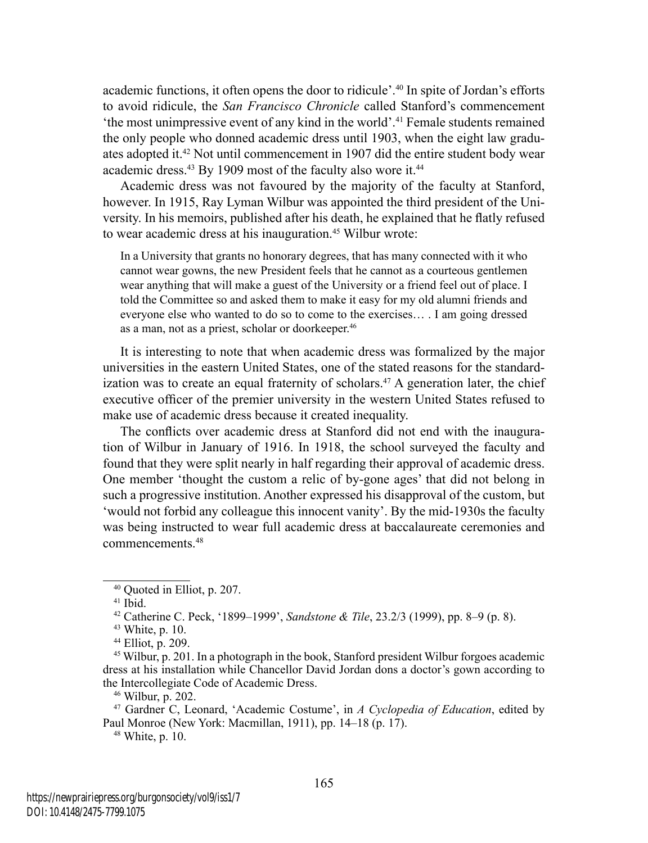academic functions, it often opens the door to ridicule'.40 In spite of Jordan's efforts to avoid ridicule, the *San Francisco Chronicle* called Stanford's commencement 'the most unimpressive event of any kind in the world'.41 Female students remained the only people who donned academic dress until 1903, when the eight law graduates adopted it.42 Not until commencement in 1907 did the entire student body wear academic dress.<sup>43</sup> By 1909 most of the faculty also wore it.<sup>44</sup>

Academic dress was not favoured by the majority of the faculty at Stanford, however. In 1915, Ray Lyman Wilbur was appointed the third president of the University. In his memoirs, published after his death, he explained that he flatly refused to wear academic dress at his inauguration.<sup>45</sup> Wilbur wrote:

In a University that grants no honorary degrees, that has many connected with it who cannot wear gowns, the new President feels that he cannot as a courteous gentlemen wear anything that will make a guest of the University or a friend feel out of place. I told the Committee so and asked them to make it easy for my old alumni friends and everyone else who wanted to do so to come to the exercises… . I am going dressed as a man, not as a priest, scholar or doorkeeper.46

It is interesting to note that when academic dress was formalized by the major universities in the eastern United States, one of the stated reasons for the standardization was to create an equal fraternity of scholars.<sup>47</sup> A generation later, the chief executive officer of the premier university in the western United States refused to make use of academic dress because it created inequality.

The conflicts over academic dress at Stanford did not end with the inauguration of Wilbur in January of 1916. In 1918, the school surveyed the faculty and found that they were split nearly in half regarding their approval of academic dress. One member 'thought the custom a relic of by-gone ages' that did not belong in such a progressive institution. Another expressed his disapproval of the custom, but 'would not forbid any colleague this innocent vanity'. By the mid-1930s the faculty was being instructed to wear full academic dress at baccalaureate ceremonies and commencements<sup>48</sup>

48 White, p. 10.

<sup>40</sup> Quoted in Elliot, p. 207.

<sup>41</sup> Ibid.

<sup>42</sup> Catherine C. Peck, '1899–1999', *Sandstone & Tile*, 23.2/3 (1999), pp. 8–9 (p. 8).

<sup>43</sup> White, p. 10.

<sup>44</sup> Elliot, p. 209.

<sup>45</sup> Wilbur, p. 201. In a photograph in the book, Stanford president Wilbur forgoes academic dress at his installation while Chancellor David Jordan dons a doctor's gown according to the Intercollegiate Code of Academic Dress.

<sup>46</sup> Wilbur, p. 202.

<sup>47</sup> Gardner C, Leonard, 'Academic Costume', in *A Cyclopedia of Education*, edited by Paul Monroe (New York: Macmillan, 1911), pp. 14–18 (p. 17).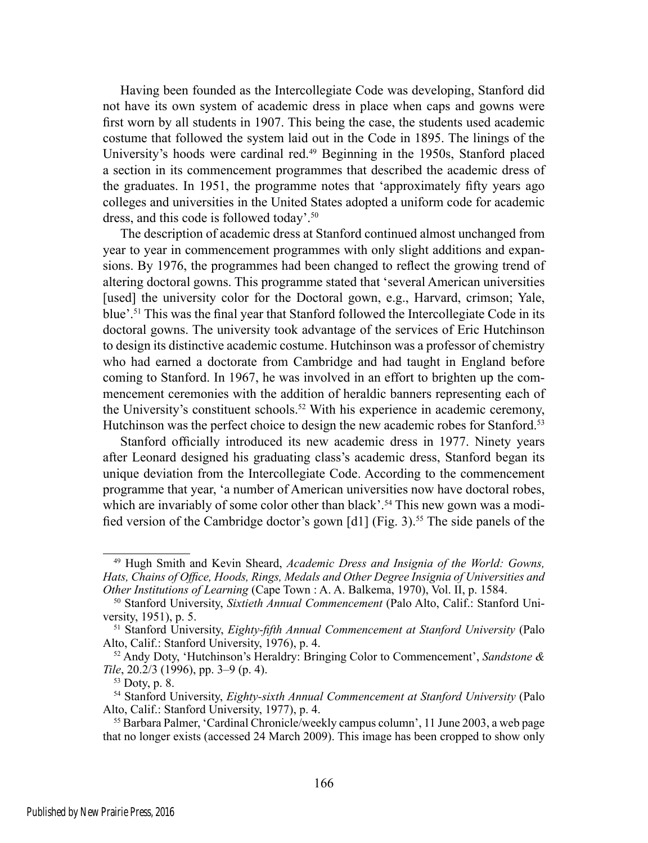Having been founded as the Intercollegiate Code was developing, Stanford did not have its own system of academic dress in place when caps and gowns were first worn by all students in 1907. This being the case, the students used academic costume that followed the system laid out in the Code in 1895. The linings of the University's hoods were cardinal red.49 Beginning in the 1950s, Stanford placed a section in its commencement programmes that described the academic dress of the graduates. In 1951, the programme notes that 'approximately fifty years ago colleges and universities in the United States adopted a uniform code for academic dress, and this code is followed today'.50

The description of academic dress at Stanford continued almost unchanged from year to year in commencement programmes with only slight additions and expansions. By 1976, the programmes had been changed to reflect the growing trend of altering doctoral gowns. This programme stated that 'several American universities [used] the university color for the Doctoral gown, e.g., Harvard, crimson; Yale, blue'.51 This was the final year that Stanford followed the Intercollegiate Code in its doctoral gowns. The university took advantage of the services of Eric Hutchinson to design its distinctive academic costume. Hutchinson was a professor of chemistry who had earned a doctorate from Cambridge and had taught in England before coming to Stanford. In 1967, he was involved in an effort to brighten up the commencement ceremonies with the addition of heraldic banners representing each of the University's constituent schools.<sup>52</sup> With his experience in academic ceremony, Hutchinson was the perfect choice to design the new academic robes for Stanford.53

Stanford officially introduced its new academic dress in 1977. Ninety years after Leonard designed his graduating class's academic dress, Stanford began its unique deviation from the Intercollegiate Code. According to the commencement programme that year, 'a number of American universities now have doctoral robes, which are invariably of some color other than black'.<sup>54</sup> This new gown was a modified version of the Cambridge doctor's gown  $\left[ d \right]$  (Fig. 3).<sup>55</sup> The side panels of the

<sup>49</sup> Hugh Smith and Kevin Sheard, *Academic Dress and Insignia of the World: Gowns, Hats, Chains of Office, Hoods, Rings, Medals and Other Degree Insignia of Universities and Other Institutions of Learning* (Cape Town : A. A. Balkema, 1970), Vol. II, p. 1584.

<sup>50</sup> Stanford University, *Sixtieth Annual Commencement* (Palo Alto, Calif.: Stanford University, 1951), p. 5.

<sup>51</sup> Stanford University, *Eighty-fifth Annual Commencement at Stanford University* (Palo Alto, Calif.: Stanford University, 1976), p. 4.

<sup>52</sup> Andy Doty, 'Hutchinson's Heraldry: Bringing Color to Commencement', *Sandstone & Tile*, 20.2/3 (1996), pp. 3–9 (p. 4).

 $53$  Doty, p. 8.

<sup>&</sup>lt;sup>54</sup> Stanford University, *Eighty-sixth Annual Commencement at Stanford University* (Palo Alto, Calif.: Stanford University, 1977), p. 4.

<sup>55</sup> Barbara Palmer, 'Cardinal Chronicle/weekly campus column', 11 June 2003, a web page that no longer exists (accessed 24 March 2009). This image has been cropped to show only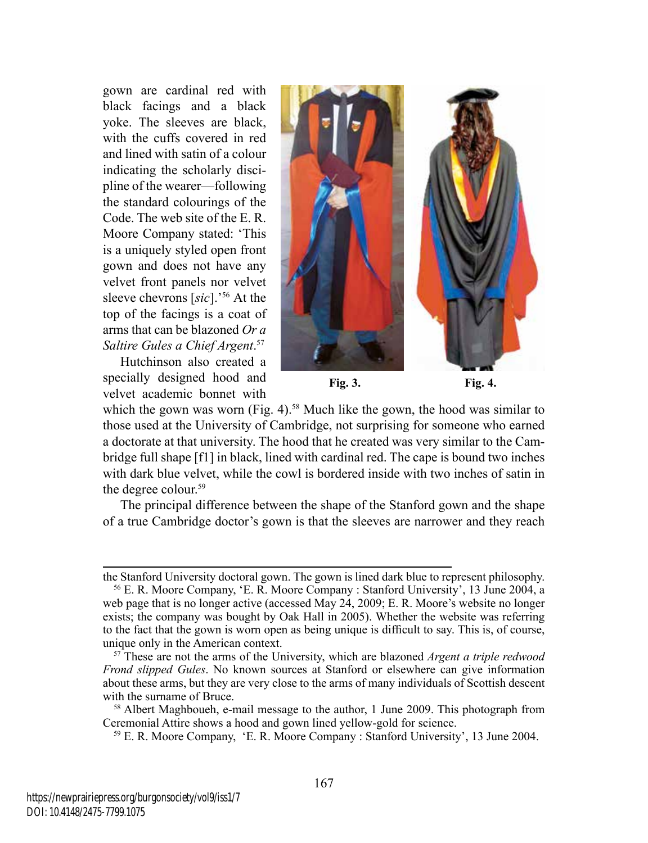gown are cardinal red with black facings and a black yoke. The sleeves are black, with the cuffs covered in red and lined with satin of a colour indicating the scholarly discipline of the wearer—following the standard colourings of the Code. The web site of the E. R. Moore Company stated: 'This is a uniquely styled open front gown and does not have any velvet front panels nor velvet sleeve chevrons [*sic*].'56 At the top of the facings is a coat of arms that can be blazoned *Or a Saltire Gules a Chief Argent*. 57

Hutchinson also created a specially designed hood and velvet academic bonnet with



**Fig. 3. Fig. 4.**

which the gown was worn (Fig. 4).<sup>58</sup> Much like the gown, the hood was similar to those used at the University of Cambridge, not surprising for someone who earned a doctorate at that university. The hood that he created was very similar to the Cambridge full shape [f1] in black, lined with cardinal red. The cape is bound two inches with dark blue velvet, while the cowl is bordered inside with two inches of satin in the degree colour.<sup>59</sup>

The principal difference between the shape of the Stanford gown and the shape of a true Cambridge doctor's gown is that the sleeves are narrower and they reach

the Stanford University doctoral gown. The gown is lined dark blue to represent philosophy.

<sup>56</sup> E. R. Moore Company, 'E. R. Moore Company : Stanford University', 13 June 2004, a web page that is no longer active (accessed May 24, 2009; E. R. Moore's website no longer exists; the company was bought by Oak Hall in 2005). Whether the website was referring to the fact that the gown is worn open as being unique is difficult to say. This is, of course, unique only in the American context.

<sup>57</sup> These are not the arms of the University, which are blazoned *Argent a triple redwood Frond slipped Gules*. No known sources at Stanford or elsewhere can give information about these arms, but they are very close to the arms of many individuals of Scottish descent with the surname of Bruce.<br><sup>58</sup> Albert Maghboueh, e-mail message to the author, 1 June 2009. This photograph from

Ceremonial Attire shows a hood and gown lined yellow-gold for science.

<sup>59</sup> E. R. Moore Company, 'E. R. Moore Company : Stanford University', 13 June 2004.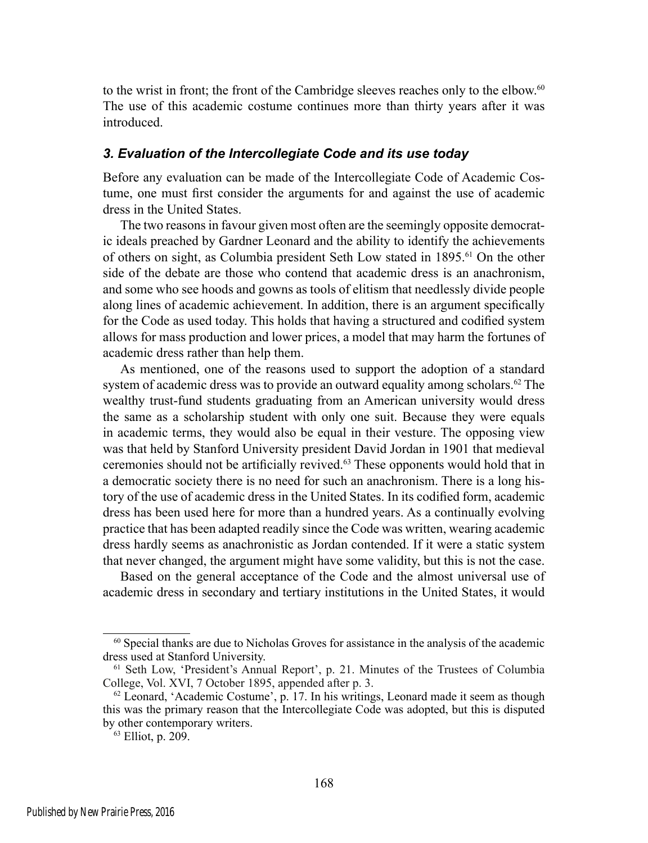to the wrist in front; the front of the Cambridge sleeves reaches only to the elbow.<sup>60</sup> The use of this academic costume continues more than thirty years after it was introduced.

#### *3. Evaluation of the Intercollegiate Code and its use today*

Before any evaluation can be made of the Intercollegiate Code of Academic Costume, one must first consider the arguments for and against the use of academic dress in the United States.

The two reasons in favour given most often are the seemingly opposite democratic ideals preached by Gardner Leonard and the ability to identify the achievements of others on sight, as Columbia president Seth Low stated in 1895.61 On the other side of the debate are those who contend that academic dress is an anachronism, and some who see hoods and gowns as tools of elitism that needlessly divide people along lines of academic achievement. In addition, there is an argument specifically for the Code as used today. This holds that having a structured and codified system allows for mass production and lower prices, a model that may harm the fortunes of academic dress rather than help them.

As mentioned, one of the reasons used to support the adoption of a standard system of academic dress was to provide an outward equality among scholars.<sup>62</sup> The wealthy trust-fund students graduating from an American university would dress the same as a scholarship student with only one suit. Because they were equals in academic terms, they would also be equal in their vesture. The opposing view was that held by Stanford University president David Jordan in 1901 that medieval ceremonies should not be artificially revived.63 These opponents would hold that in a democratic society there is no need for such an anachronism. There is a long history of the use of academic dress in the United States. In its codified form, academic dress has been used here for more than a hundred years. As a continually evolving practice that has been adapted readily since the Code was written, wearing academic dress hardly seems as anachronistic as Jordan contended. If it were a static system that never changed, the argument might have some validity, but this is not the case.

Based on the general acceptance of the Code and the almost universal use of academic dress in secondary and tertiary institutions in the United States, it would

<sup>60</sup> Special thanks are due to Nicholas Groves for assistance in the analysis of the academic dress used at Stanford University.

<sup>61</sup> Seth Low, 'President's Annual Report', p. 21. Minutes of the Trustees of Columbia College, Vol. XVI, 7 October 1895, appended after p. 3.

 $62$  Leonard, 'Academic Costume', p. 17. In his writings, Leonard made it seem as though this was the primary reason that the Intercollegiate Code was adopted, but this is disputed by other contemporary writers.

<sup>63</sup> Elliot, p. 209.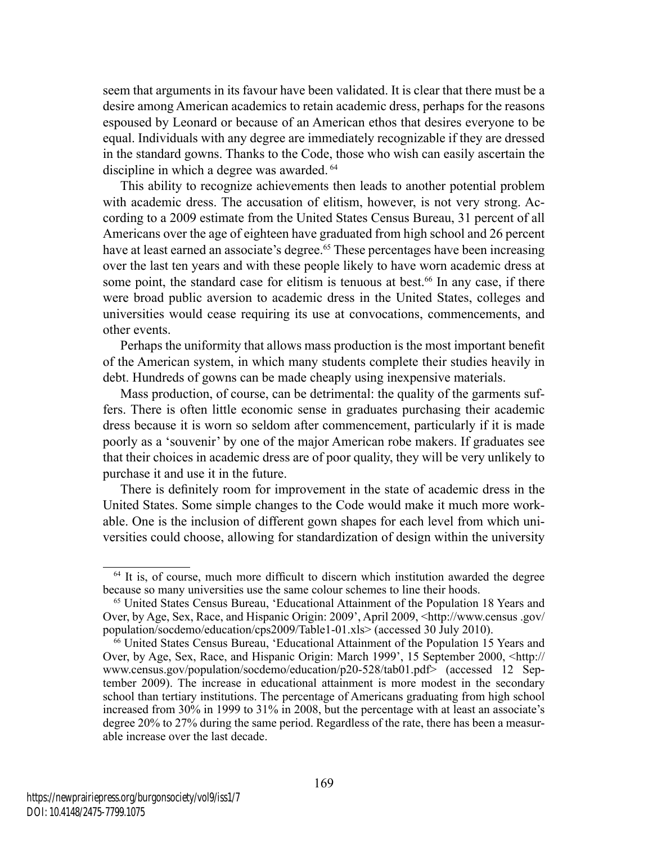seem that arguments in its favour have been validated. It is clear that there must be a desire among American academics to retain academic dress, perhaps for the reasons espoused by Leonard or because of an American ethos that desires everyone to be equal. Individuals with any degree are immediately recognizable if they are dressed in the standard gowns. Thanks to the Code, those who wish can easily ascertain the discipline in which a degree was awarded. 64

This ability to recognize achievements then leads to another potential problem with academic dress. The accusation of elitism, however, is not very strong. According to a 2009 estimate from the United States Census Bureau, 31 percent of all Americans over the age of eighteen have graduated from high school and 26 percent have at least earned an associate's degree.<sup>65</sup> These percentages have been increasing over the last ten years and with these people likely to have worn academic dress at some point, the standard case for elitism is tenuous at best.<sup>66</sup> In any case, if there were broad public aversion to academic dress in the United States, colleges and universities would cease requiring its use at convocations, commencements, and other events.

Perhaps the uniformity that allows mass production is the most important benefit of the American system, in which many students complete their studies heavily in debt. Hundreds of gowns can be made cheaply using inexpensive materials.

Mass production, of course, can be detrimental: the quality of the garments suffers. There is often little economic sense in graduates purchasing their academic dress because it is worn so seldom after commencement, particularly if it is made poorly as a 'souvenir' by one of the major American robe makers. If graduates see that their choices in academic dress are of poor quality, they will be very unlikely to purchase it and use it in the future.

There is definitely room for improvement in the state of academic dress in the United States. Some simple changes to the Code would make it much more workable. One is the inclusion of different gown shapes for each level from which universities could choose, allowing for standardization of design within the university

<sup>&</sup>lt;sup>64</sup> It is, of course, much more difficult to discern which institution awarded the degree because so many universities use the same colour schemes to line their hoods.

<sup>65</sup> United States Census Bureau, 'Educational Attainment of the Population 18 Years and Over, by Age, Sex, Race, and Hispanic Origin: 2009', April 2009, <http://www.census .gov/ population/socdemo/education/cps2009/Table1-01.xls> (accessed 30 July 2010).

<sup>&</sup>lt;sup>66</sup> United States Census Bureau, 'Educational Attainment of the Population 15 Years and Over, by Age, Sex, Race, and Hispanic Origin: March 1999', 15 September 2000, <http:// www.census.gov/population/socdemo/education/p20-528/tab01.pdf> (accessed 12 September 2009). The increase in educational attainment is more modest in the secondary school than tertiary institutions. The percentage of Americans graduating from high school increased from 30% in 1999 to 31% in 2008, but the percentage with at least an associate's degree 20% to 27% during the same period. Regardless of the rate, there has been a measurable increase over the last decade.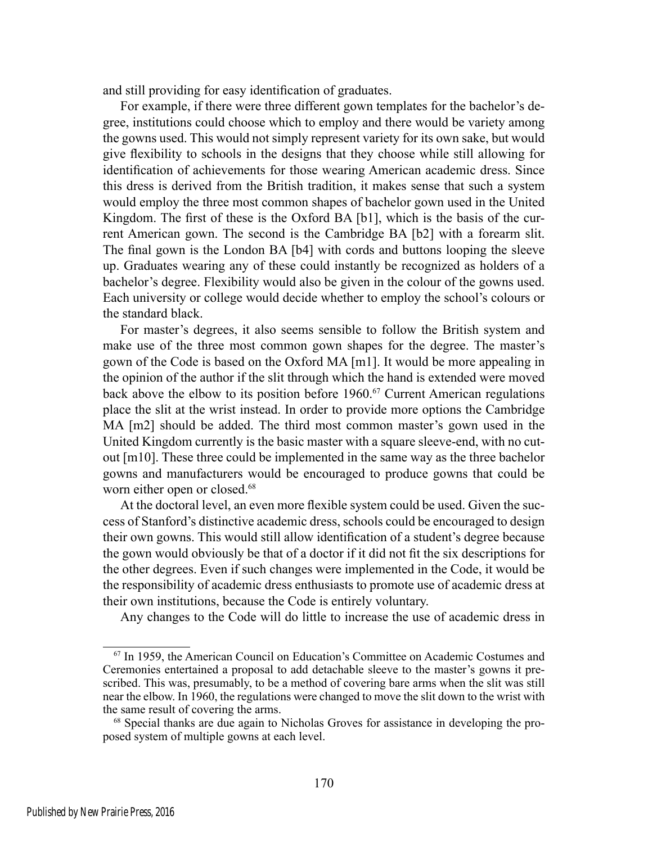and still providing for easy identification of graduates.

For example, if there were three different gown templates for the bachelor's degree, institutions could choose which to employ and there would be variety among the gowns used. This would not simply represent variety for its own sake, but would give flexibility to schools in the designs that they choose while still allowing for identification of achievements for those wearing American academic dress. Since this dress is derived from the British tradition, it makes sense that such a system would employ the three most common shapes of bachelor gown used in the United Kingdom. The first of these is the Oxford BA [b1], which is the basis of the current American gown. The second is the Cambridge BA [b2] with a forearm slit. The final gown is the London BA [b4] with cords and buttons looping the sleeve up. Graduates wearing any of these could instantly be recognized as holders of a bachelor's degree. Flexibility would also be given in the colour of the gowns used. Each university or college would decide whether to employ the school's colours or the standard black.

For master's degrees, it also seems sensible to follow the British system and make use of the three most common gown shapes for the degree. The master's gown of the Code is based on the Oxford MA [m1]. It would be more appealing in the opinion of the author if the slit through which the hand is extended were moved back above the elbow to its position before  $1960$ .<sup>67</sup> Current American regulations place the slit at the wrist instead. In order to provide more options the Cambridge MA [m2] should be added. The third most common master's gown used in the United Kingdom currently is the basic master with a square sleeve-end, with no cutout [m10]. These three could be implemented in the same way as the three bachelor gowns and manufacturers would be encouraged to produce gowns that could be worn either open or closed.<sup>68</sup>

At the doctoral level, an even more flexible system could be used. Given the success of Stanford's distinctive academic dress, schools could be encouraged to design their own gowns. This would still allow identification of a student's degree because the gown would obviously be that of a doctor if it did not fit the six descriptions for the other degrees. Even if such changes were implemented in the Code, it would be the responsibility of academic dress enthusiasts to promote use of academic dress at their own institutions, because the Code is entirely voluntary.

Any changes to the Code will do little to increase the use of academic dress in

<sup>67</sup> In 1959, the American Council on Education's Committee on Academic Costumes and Ceremonies entertained a proposal to add detachable sleeve to the master's gowns it prescribed. This was, presumably, to be a method of covering bare arms when the slit was still near the elbow. In 1960, the regulations were changed to move the slit down to the wrist with the same result of covering the arms.

<sup>68</sup> Special thanks are due again to Nicholas Groves for assistance in developing the proposed system of multiple gowns at each level.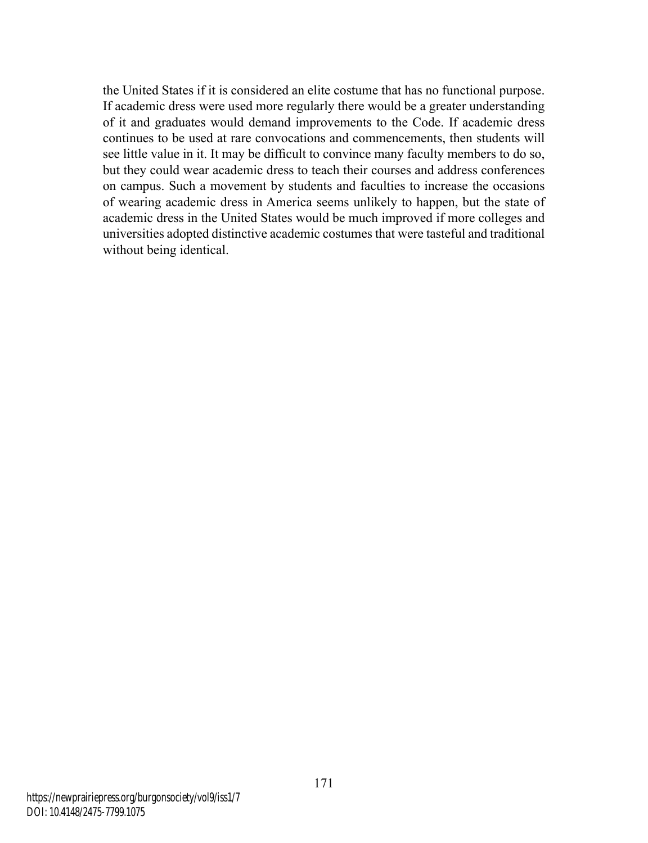the United States if it is considered an elite costume that has no functional purpose. If academic dress were used more regularly there would be a greater understanding of it and graduates would demand improvements to the Code. If academic dress continues to be used at rare convocations and commencements, then students will see little value in it. It may be difficult to convince many faculty members to do so, but they could wear academic dress to teach their courses and address conferences on campus. Such a movement by students and faculties to increase the occasions of wearing academic dress in America seems unlikely to happen, but the state of academic dress in the United States would be much improved if more colleges and universities adopted distinctive academic costumes that were tasteful and traditional without being identical.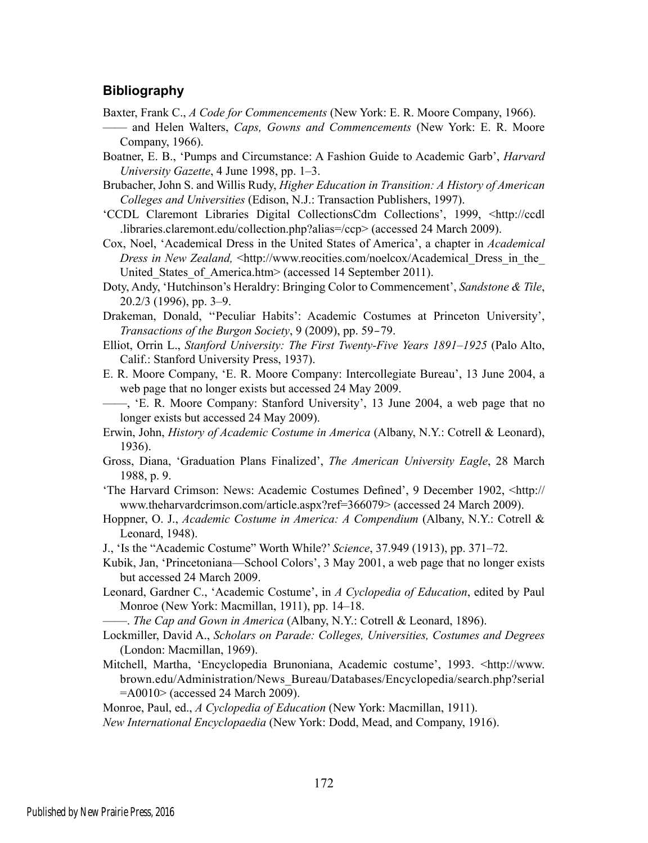### **Bibliography**

- Baxter, Frank C., *A Code for Commencements* (New York: E. R. Moore Company, 1966).
- —— and Helen Walters, *Caps, Gowns and Commencements* (New York: E. R. Moore Company, 1966).
- Boatner, E. B., 'Pumps and Circumstance: A Fashion Guide to Academic Garb', *Harvard University Gazette*, 4 June 1998, pp. 1–3.
- Brubacher, John S. and Willis Rudy, *Higher Education in Transition: A History of American Colleges and Universities* (Edison, N.J.: Transaction Publishers, 1997).
- 'CCDL Claremont Libraries Digital CollectionsCdm Collections', 1999, <http://ccdl .libraries.claremont.edu/collection.php?alias=/ccp> (accessed 24 March 2009).
- Cox, Noel, 'Academical Dress in the United States of America', a chapter in *Academical Dress in New Zealand,* <http://www.reocities.com/noelcox/Academical Dress in the United States of America.htm> (accessed 14 September 2011).
- Doty, Andy, 'Hutchinson's Heraldry: Bringing Color to Commencement', *Sandstone & Tile*, 20.2/3 (1996), pp. 3–9.
- Drakeman, Donald, ''Peculiar Habits': Academic Costumes at Princeton University', *Transactions of the Burgon Society*, 9 (2009), pp. 59–79.
- Elliot, Orrin L., *Stanford University: The First Twenty-Five Years 1891–1925* (Palo Alto, Calif.: Stanford University Press, 1937).
- E. R. Moore Company, 'E. R. Moore Company: Intercollegiate Bureau', 13 June 2004, a web page that no longer exists but accessed 24 May 2009.
- ——, 'E. R. Moore Company: Stanford University', 13 June 2004, a web page that no longer exists but accessed 24 May 2009).
- Erwin, John, *History of Academic Costume in America* (Albany, N.Y.: Cotrell & Leonard), 1936).
- Gross, Diana, 'Graduation Plans Finalized', *The American University Eagle*, 28 March 1988, p. 9.
- 'The Harvard Crimson: News: Academic Costumes Defined', 9 December 1902, <http:// www.theharvardcrimson.com/article.aspx?ref=366079> (accessed 24 March 2009).
- Hoppner, O. J., *Academic Costume in America: A Compendium* (Albany, N.Y.: Cotrell & Leonard, 1948).
- J., 'Is the "Academic Costume" Worth While?' *Science*, 37.949 (1913), pp. 371–72.
- Kubik, Jan, 'Princetoniana—School Colors', 3 May 2001, a web page that no longer exists but accessed 24 March 2009.
- Leonard, Gardner C., 'Academic Costume', in *A Cyclopedia of Education*, edited by Paul Monroe (New York: Macmillan, 1911), pp. 14–18.
- ——. *The Cap and Gown in America* (Albany, N.Y.: Cotrell & Leonard, 1896).
- Lockmiller, David A., *Scholars on Parade: Colleges, Universities, Costumes and Degrees* (London: Macmillan, 1969).
- Mitchell, Martha, 'Encyclopedia Brunoniana, Academic costume', 1993. <http://www. brown.edu/Administration/News\_Bureau/Databases/Encyclopedia/search.php?serial =A0010> (accessed 24 March 2009).

Monroe, Paul, ed., *A Cyclopedia of Education* (New York: Macmillan, 1911).

*New International Encyclopaedia* (New York: Dodd, Mead, and Company, 1916).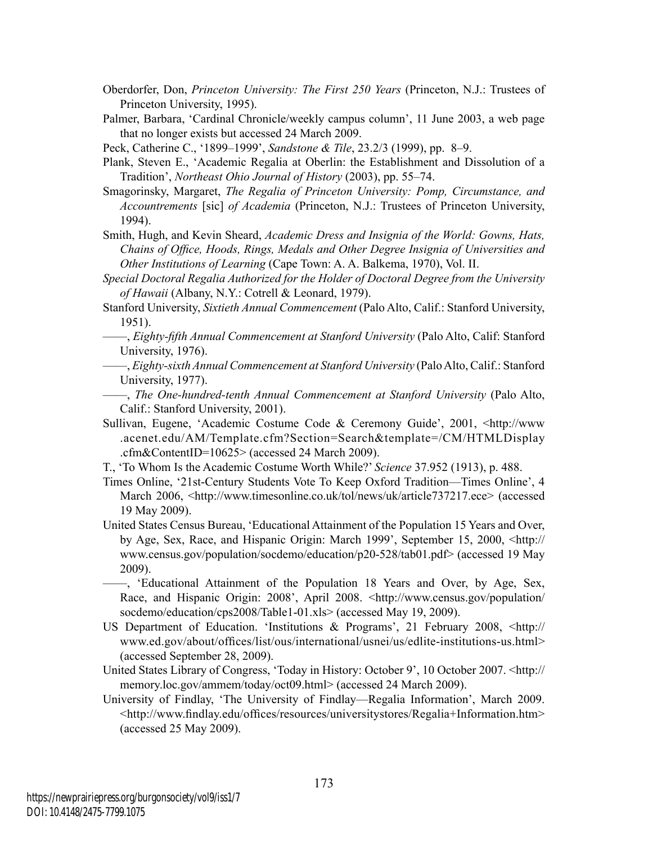- Oberdorfer, Don, *Princeton University: The First 250 Years* (Princeton, N.J.: Trustees of Princeton University, 1995).
- Palmer, Barbara, 'Cardinal Chronicle/weekly campus column', 11 June 2003, a web page that no longer exists but accessed 24 March 2009.

Peck, Catherine C., '1899–1999', *Sandstone & Tile*, 23.2/3 (1999), pp. 8–9.

- Plank, Steven E., 'Academic Regalia at Oberlin: the Establishment and Dissolution of a Tradition', *Northeast Ohio Journal of History* (2003), pp. 55–74.
- Smagorinsky, Margaret, *The Regalia of Princeton University: Pomp, Circumstance, and Accountrements* [sic] *of Academia* (Princeton, N.J.: Trustees of Princeton University, 1994).

Smith, Hugh, and Kevin Sheard, *Academic Dress and Insignia of the World: Gowns, Hats, Chains of Office, Hoods, Rings, Medals and Other Degree Insignia of Universities and Other Institutions of Learning* (Cape Town: A. A. Balkema, 1970), Vol. II.

- *Special Doctoral Regalia Authorized for the Holder of Doctoral Degree from the University of Hawaii* (Albany, N.Y.: Cotrell & Leonard, 1979).
- Stanford University, *Sixtieth Annual Commencement* (Palo Alto, Calif.: Stanford University, 1951).
- ——, *Eighty-fifth Annual Commencement at Stanford University* (Palo Alto, Calif: Stanford University, 1976).
- ——, *Eighty-sixth Annual Commencement at Stanford University* (Palo Alto, Calif.: Stanford University, 1977).
- ——, *The One-hundred-tenth Annual Commencement at Stanford University* (Palo Alto, Calif.: Stanford University, 2001).
- Sullivan, Eugene, 'Academic Costume Code & Ceremony Guide', 2001, <http://www .acenet.edu/AM/Template.cfm?Section=Search&template=/CM/HTMLDisplay .cfm&ContentID=10625> (accessed 24 March 2009).
- T., 'To Whom Is the Academic Costume Worth While?' *Science* 37.952 (1913), p. 488.
- Times Online, '21st-Century Students Vote To Keep Oxford Tradition—Times Online', 4 March 2006, <http://www.timesonline.co.uk/tol/news/uk/article737217.ece> (accessed 19 May 2009).
- United States Census Bureau, 'Educational Attainment of the Population 15 Years and Over, by Age, Sex, Race, and Hispanic Origin: March 1999', September 15, 2000, <http:// www.census.gov/population/socdemo/education/p20-528/tab01.pdf> (accessed 19 May 2009).
- ——, 'Educational Attainment of the Population 18 Years and Over, by Age, Sex, Race, and Hispanic Origin: 2008', April 2008. <http://www.census.gov/population/ socdemo/education/cps2008/Table1-01.xls> (accessed May 19, 2009).
- US Department of Education. 'Institutions & Programs', 21 February 2008, <http:// www.ed.gov/about/offices/list/ous/international/usnei/us/edlite-institutions-us.html> (accessed September 28, 2009).
- United States Library of Congress, 'Today in History: October 9', 10 October 2007. <http:// memory.loc.gov/ammem/today/oct09.html> (accessed 24 March 2009).
- University of Findlay, 'The University of Findlay—Regalia Information', March 2009. <http://www.findlay.edu/offices/resources/universitystores/Regalia+Information.htm> (accessed 25 May 2009).